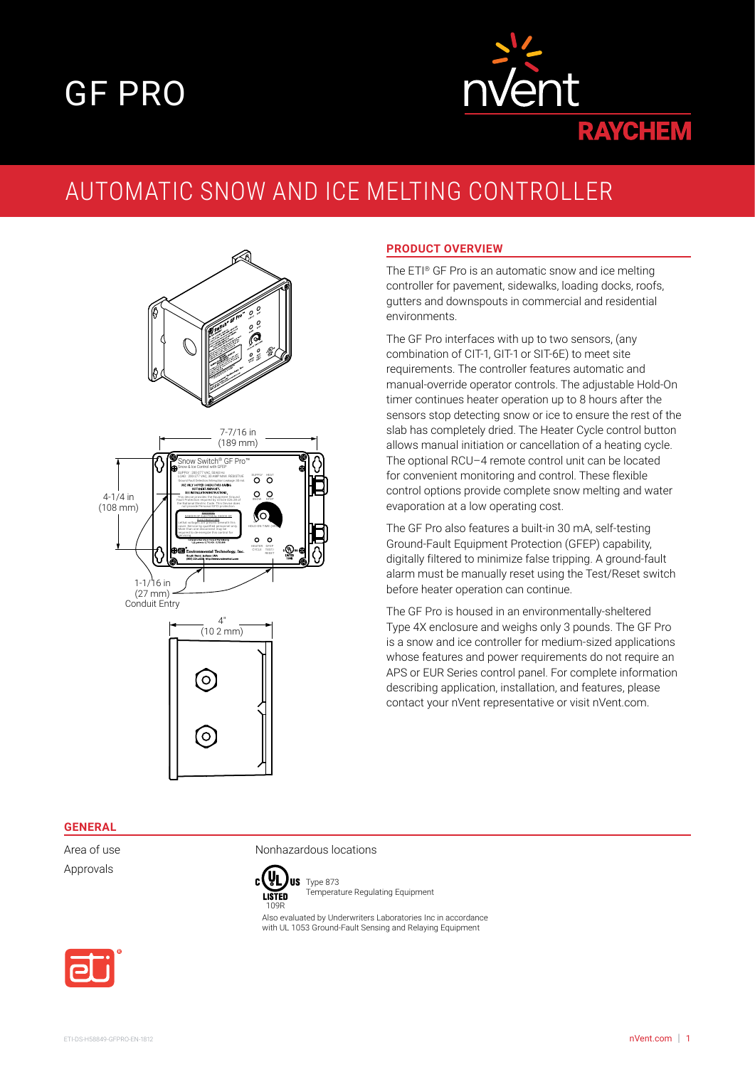# GF PRO



# AUTOMATIC SNOW AND ICE MELTING CONTROLLER



#### **PRODUCT OVERVIEW**

The ETI® GF Pro is an automatic snow and ice melting controller for pavement, sidewalks, loading docks, roofs, gutters and downspouts in commercial and residential environments.

The GF Pro interfaces with up to two sensors, (any combination of CIT-1, GIT-1 or SIT-6E) to meet site requirements. The controller features automatic and manual-override operator controls. The adjustable Hold-On timer continues heater operation up to 8 hours after the sensors stop detecting snow or ice to ensure the rest of the slab has completely dried. The Heater Cycle control button allows manual initiation or cancellation of a heating cycle. The optional RCU–4 remote control unit can be located for convenient monitoring and control. These flexible control options provide complete snow melting and water evaporation at a low operating cost.

The GF Pro also features a built-in 30 mA, self-testing Ground-Fault Equipment Protection (GFEP) capability, digitally filtered to minimize false tripping. A ground-fault alarm must be manually reset using the Test/Reset switch before heater operation can continue.

The GF Pro is housed in an environmentally-sheltered Type 4X enclosure and weighs only 3 pounds. The GF Pro is a snow and ice controller for medium-sized applications whose features and power requirements do not require an APS or EUR Series control panel. For complete information describing application, installation, and features, please contact your nVent representative or visit nVent.com.

#### **GENERAL**

Approvals

Area of use Nonhazardous locations



**US** Type 873 Temperature Regulating Equipment

Also evaluated by Underwriters Laboratories Inc in accordance with UL 1053 Ground-Fault Sensing and Relaying Equipment